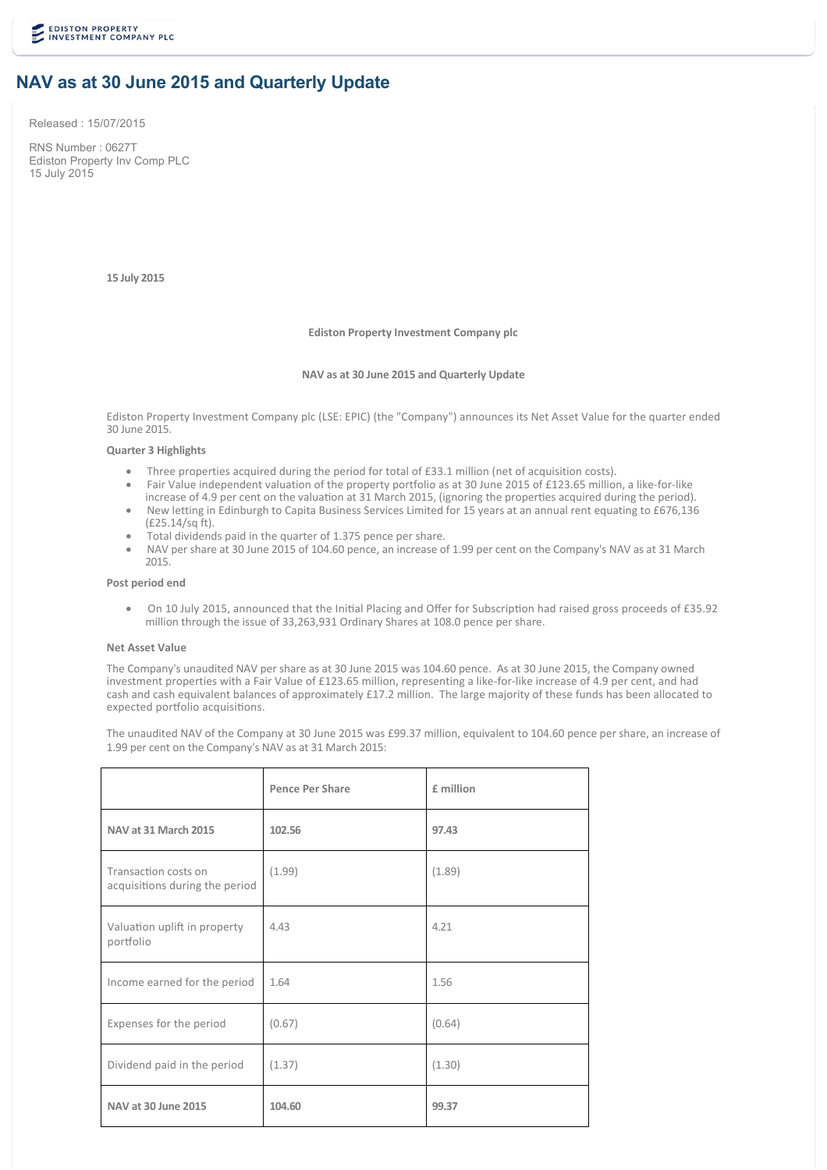# **NAV as at 30 June 2015 and Quarterly Update**

Released : 15/07/2015

RNS Number : 0627T Ediston Property Inv Comp PLC 15 July 2015

**15 July 2015**

### **Ediston Property Investment Company plc**

## **NAV as at 30 June 2015 and Quarterly Update**

Ediston Property Investment Company plc (LSE: EPIC) (the "Company") announces its Net Asset Value for the quarter ended 30 June 2015.

## **Quarter 3 Highlights**

- · Three properties acquired during the period for total of £33.1 million (net of acquisition costs).
- · Fair Value independent valuation of the property portfolio as at 30 June 2015 of £123.65 million, a like‐for‐like increase of 4.9 per cent on the valuation at 31 March 2015, (ignoring the properties acquired during the period).
- · New letting in Edinburgh to Capita Business Services Limited for 15 years at an annual rent equating to £676,136 (£25.14/sq ft).
- Total dividends paid in the quarter of 1.375 pence per share.
- NAV per share at 30 June 2015 of 104.60 pence, an increase of 1.99 per cent on the Company's NAV as at 31 March 2015.

#### **Post period end**

• On 10 July 2015, announced that the Initial Placing and Offer for Subscription had raised gross proceeds of £35.92 million through the issue of 33,263,931 Ordinary Shares at 108.0 pence per share.

## **Net Asset Value**

The Company's unaudited NAV per share as at 30 June 2015 was 104.60 pence. As at 30 June 2015, the Company owned investment properties with a Fair Value of £123.65 million, representing a like‐for‐like increase of 4.9 per cent, and had cash and cash equivalent balances of approximately £17.2 million. The large majority of these funds has been allocated to expected portfolio acquisitions.

The unaudited NAV of the Company at 30 June 2015 was £99.37 million, equivalent to 104.60 pence per share, an increase of 1.99 per cent on the Company's NAV as at 31 March 2015:

|                                                        | <b>Pence Per Share</b> | £ million |
|--------------------------------------------------------|------------------------|-----------|
| NAV at 31 March 2015                                   | 102.56                 | 97.43     |
| Transaction costs on<br>acquisitions during the period | (1.99)                 | (1.89)    |
| Valuation uplift in property<br>portfolio              | 4.43                   | 4.21      |
| Income earned for the period                           | 1.64                   | 1.56      |
| Expenses for the period                                | (0.67)                 | (0.64)    |
| Dividend paid in the period                            | (1.37)                 | (1.30)    |
| NAV at 30 June 2015                                    | 104.60                 | 99.37     |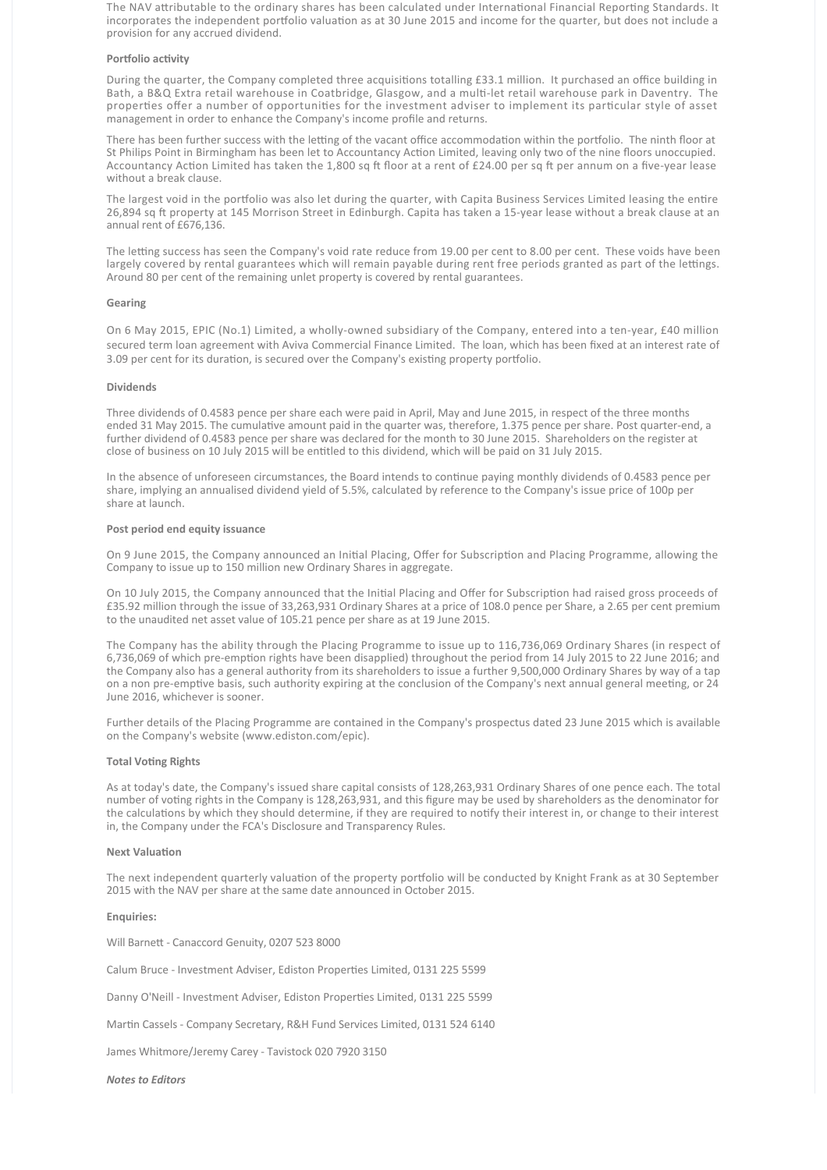The NAV attributable to the ordinary shares has been calculated under International Financial Reporting Standards. It incorporates the independent portfolio valuation as at 30 June 2015 and income for the quarter, but does not include a provision for any accrued dividend.

#### **Portfolio activity**

During the quarter, the Company completed three acquisitions totalling £33.1 million. It purchased an office building in Bath, a B&Q Extra retail warehouse in Coatbridge, Glasgow, and a multi-let retail warehouse park in Daventry. The properties offer a number of opportunities for the investment adviser to implement its particular style of asset management in order to enhance the Company's income profile and returns.

There has been further success with the letting of the vacant office accommodation within the portfolio. The ninth floor at St Philips Point in Birmingham has been let to Accountancy Action Limited, leaving only two of the nine floors unoccupied. Accountancy Action Limited has taken the 1,800 sq ft floor at a rent of £24.00 per sq ft per annum on a five-year lease without a break clause.

The largest void in the portfolio was also let during the quarter, with Capita Business Services Limited leasing the entire 26,894 sq ft property at 145 Morrison Street in Edinburgh. Capita has taken a 15-year lease without a break clause at an annual rent of £676,136.

The letting success has seen the Company's void rate reduce from 19.00 per cent to 8.00 per cent. These voids have been largely covered by rental guarantees which will remain payable during rent free periods granted as part of the lettings. Around 80 per cent of the remaining unlet property is covered by rental guarantees.

#### **Gearing**

On 6 May 2015, EPIC (No.1) Limited, a wholly-owned subsidiary of the Company, entered into a ten-year, £40 million secured term loan agreement with Aviva Commercial Finance Limited. The loan, which has been fixed at an interest rate of 3.09 per cent for its duration, is secured over the Company's existing property portfolio.

## **Dividends**

Three dividends of 0.4583 pence per share each were paid in April, May and June 2015, in respect of the three months ended 31 May 2015. The cumulative amount paid in the quarter was, therefore, 1.375 pence per share. Post quarter-end, a further dividend of 0.4583 pence per share was declared for the month to 30 June 2015. Shareholders on the register at close of business on 10 July 2015 will be entitled to this dividend, which will be paid on 31 July 2015.

In the absence of unforeseen circumstances, the Board intends to continue paying monthly dividends of 0.4583 pence per share, implying an annualised dividend yield of 5.5%, calculated by reference to the Company's issue price of 100p per share at launch.

#### **Post period end equity issuance**

On 9 June 2015, the Company announced an Initial Placing, Offer for Subscription and Placing Programme, allowing the Company to issue up to 150 million new Ordinary Shares in aggregate.

On 10 July 2015, the Company announced that the Initial Placing and Offer for Subscription had raised gross proceeds of £35.92 million through the issue of 33,263,931 Ordinary Shares at a price of 108.0 pence per Share, a 2.65 per cent premium to the unaudited net asset value of 105.21 pence per share as at 19 June 2015.

The Company has the ability through the Placing Programme to issue up to 116,736,069 Ordinary Shares (in respect of 6,736,069 of which pre-emption rights have been disapplied) throughout the period from 14 July 2015 to 22 June 2016; and the Company also has a general authority from its shareholders to issue a further 9,500,000 Ordinary Shares by way of a tap on a non pre-emptive basis, such authority expiring at the conclusion of the Company's next annual general meeting, or 24 June 2016, whichever is sooner.

Further details of the Placing Programme are contained in the Company's prospectus dated 23 June 2015 which is available on the Company's website (www.ediston.com/epic).

#### **Total Voting Rights**

As at today's date, the Company's issued share capital consists of 128,263,931 Ordinary Shares of one pence each. The total number of voting rights in the Company is 128,263,931, and this figure may be used by shareholders as the denominator for the calculations by which they should determine, if they are required to notify their interest in, or change to their interest in, the Company under the FCA's Disclosure and Transparency Rules.

## **Next Valuation**

The next independent quarterly valuation of the property portfolio will be conducted by Knight Frank as at 30 September 2015 with the NAV per share at the same date announced in October 2015.

#### **Enquiries:**

Will Barnett - Canaccord Genuity, 0207 523 8000

Calum Bruce - Investment Adviser, Ediston Properties Limited, 0131 225 5599

Danny O'Neill - Investment Adviser, Ediston Properties Limited, 0131 225 5599

Martin Cassels - Company Secretary, R&H Fund Services Limited, 0131 524 6140

James Whitmore/Jeremy Carey ‐ Tavistock 020 7920 3150

*Notes to Editors*